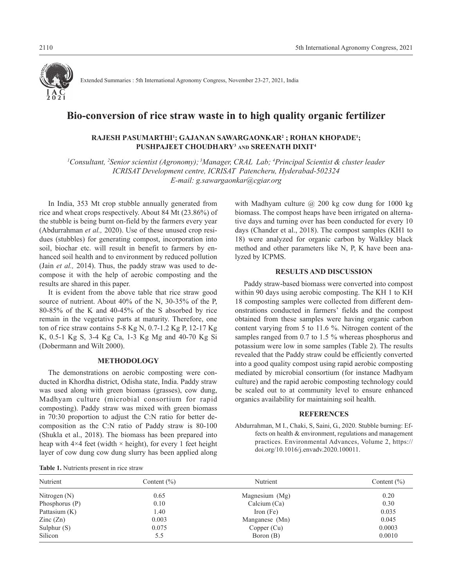

Extended Summaries : 5th International Agronomy Congress, November 23-27, 2021, India

## **Bio-conversion of rice straw waste in to high quality organic fertilizer**

## **RAJESH PASUMARTHI1 ; GAJANAN SAWARGAONKAR2 ; ROHAN KHOPADE1 ; PUSHPAJEET CHOUDHARY3 AND SREENATH DIXIT4**

*1 Consultant, 2 Senior scientist (Agronomy); 3Manager, CRAL Lab; 4 Principal Scientist & cluster leader ICRISAT Development centre, ICRISAT Patencheru, Hyderabad-502324 E-mail: g.sawargaonkar@cgiar.org*

In India, 353 Mt crop stubble annually generated from rice and wheat crops respectively. About 84 Mt (23.86%) of the stubble is being burnt on-field by the farmers every year (Abdurrahman *et al.,* 2020). Use of these unused crop residues (stubbles) for generating compost, incorporation into soil, biochar etc. will result in benefit to farmers by enhanced soil health and to environment by reduced pollution (Jain *et al.,* 2014). Thus, the paddy straw was used to decompose it with the help of aerobic composting and the results are shared in this paper.

It is evident from the above table that rice straw good source of nutrient. About 40% of the N, 30-35% of the P, 80-85% of the K and 40-45% of the S absorbed by rice remain in the vegetative parts at maturity. Therefore, one ton of rice straw contains 5-8 Kg N, 0.7-1.2 Kg P, 12-17 Kg K, 0.5-1 Kg S, 3-4 Kg Ca, 1-3 Kg Mg and 40-70 Kg Si (Dobermann and Wilt 2000).

#### **METHODOLOGY**

The demonstrations on aerobic composting were conducted in Khordha district, Odisha state, India. Paddy straw was used along with green biomass (grasses), cow dung, Madhyam culture (microbial consortium for rapid composting). Paddy straw was mixed with green biomass in 70:30 proportion to adjust the C:N ratio for better decomposition as the C:N ratio of Paddy straw is 80-100 (Shukla et al., 2018). The biomass has been prepared into heap with  $4\times4$  feet (width  $\times$  height), for every 1 feet height layer of cow dung cow dung slurry has been applied along with Madhyam culture @ 200 kg cow dung for 1000 kg biomass. The compost heaps have been irrigated on alternative days and turning over has been conducted for every 10 days (Chander et al., 2018). The compost samples (KH1 to 18) were analyzed for organic carbon by Walkley black method and other parameters like N, P, K have been analyzed by ICPMS.

#### **RESULTS AND DISCUSSION**

Paddy straw-based biomass were converted into compost within 90 days using aerobic composting. The KH 1 to KH 18 composting samples were collected from different demonstrations conducted in farmers' fields and the compost obtained from these samples were having organic carbon content varying from 5 to 11.6 %. Nitrogen content of the samples ranged from 0.7 to 1.5 % whereas phosphorus and potassium were low in some samples (Table 2). The results revealed that the Paddy straw could be efficiently converted into a good quality compost using rapid aerobic composting mediated by microbial consortium (for instance Madhyam culture) and the rapid aerobic composting technology could be scaled out to at community level to ensure enhanced organics availability for maintaining soil health.

#### **REFERENCES**

Abdurrahman, M I., Chaki, S, Saini, G., 2020. Stubble burning: Effects on health & environment, regulations and management practices. Environmental Advances, Volume 2, https:// doi.org/10.1016/j.envadv.2020.100011.

|  |  | <b>Table 1.</b> Nutrients present in rice straw |  |  |
|--|--|-------------------------------------------------|--|--|
|  |  |                                                 |  |  |

| <b>LADIC 1.</b> INTERNATION PLOSURE IN TICO SHAW |                 |                |                 |  |  |  |  |
|--------------------------------------------------|-----------------|----------------|-----------------|--|--|--|--|
| Nutrient                                         | Content $(\% )$ | Nutrient       | Content $(\% )$ |  |  |  |  |
| Nitrogen $(N)$                                   | 0.65            | Magnesium (Mg) | 0.20            |  |  |  |  |
| Phosphorus $(P)$                                 | 0.10            | Calcium $(Ca)$ | 0.30            |  |  |  |  |
| Pattasium (K)                                    | 1.40            | Iron (Fe)      | 0.035           |  |  |  |  |
| $\text{Zinc}(\text{Zn})$                         | 0.003           | Manganese (Mn) | 0.045           |  |  |  |  |
| Sulphur $(S)$                                    | 0.075           | Copper (Cu)    | 0.0003          |  |  |  |  |
| Silicon                                          | 5.5             | Boron (B)      | 0.0010          |  |  |  |  |